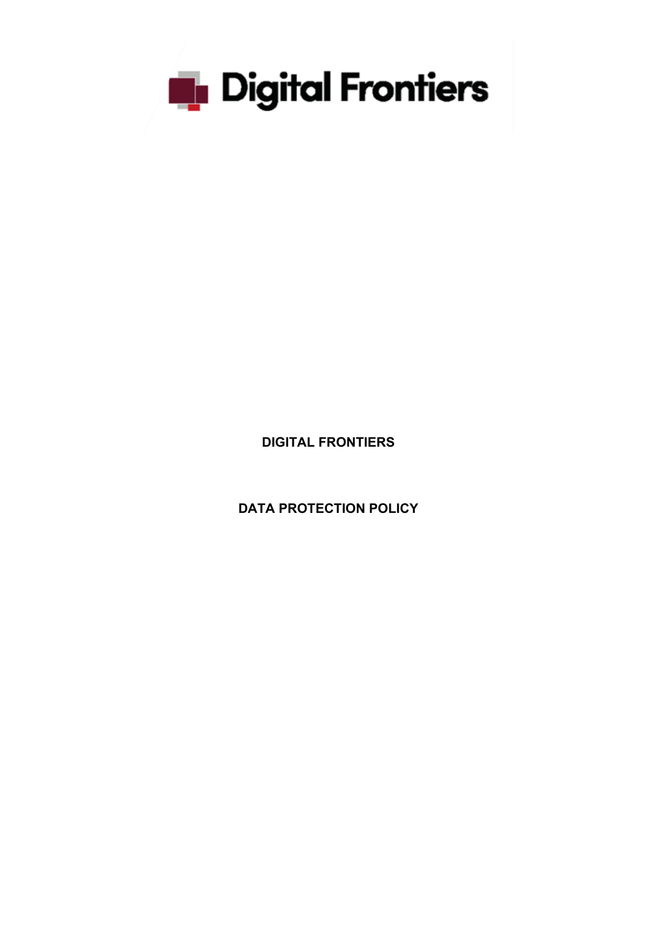

**DIGITAL FRONTIERS**

**DATA PROTECTION POLICY**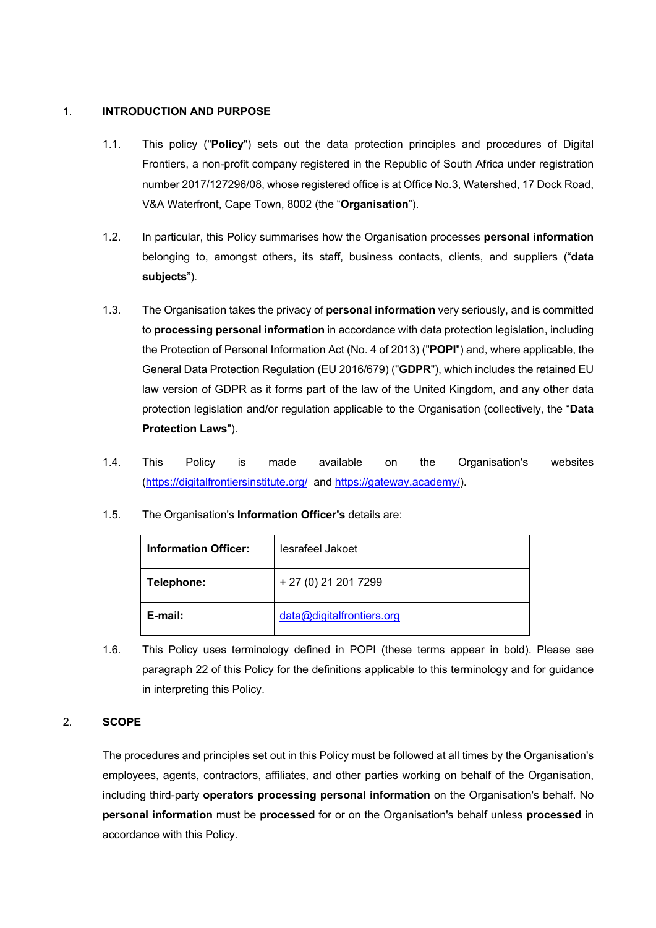## 1. **INTRODUCTION AND PURPOSE**

- 1.1. This policy ("**Policy**") sets out the data protection principles and procedures of Digital Frontiers, a non-profit company registered in the Republic of South Africa under registration number 2017/127296/08, whose registered office is at Office No.3, Watershed, 17 Dock Road, V&A Waterfront, Cape Town, 8002 (the "**Organisation**").
- 1.2. In particular, this Policy summarises how the Organisation processes **personal information** belonging to, amongst others, its staff, business contacts, clients, and suppliers ("**data subjects**").
- 1.3. The Organisation takes the privacy of **personal information** very seriously, and is committed to **processing personal information** in accordance with data protection legislation, including the Protection of Personal Information Act (No. 4 of 2013) ("**POPI**") and, where applicable, the General Data Protection Regulation (EU 2016/679) ("**GDPR**"), which includes the retained EU law version of GDPR as it forms part of the law of the United Kingdom, and any other data protection legislation and/or regulation applicable to the Organisation (collectively, the "**Data Protection Laws**").
- 1.4. This Policy is made available on the Organisation's websites (https://digitalfrontiersinstitute.org/ and https://gateway.academy/).
- 1.5. The Organisation's **Information Officer's** details are:

| <b>Information Officer:</b> | lesrafeel Jakoet          |
|-----------------------------|---------------------------|
| Telephone:                  | + 27 (0) 21 201 7299      |
| E-mail:                     | data@digitalfrontiers.org |

1.6. This Policy uses terminology defined in POPI (these terms appear in bold). Please see paragraph 22 of this Policy for the definitions applicable to this terminology and for guidance in interpreting this Policy.

# 2. **SCOPE**

The procedures and principles set out in this Policy must be followed at all times by the Organisation's employees, agents, contractors, affiliates, and other parties working on behalf of the Organisation, including third-party **operators processing personal information** on the Organisation's behalf. No **personal information** must be **processed** for or on the Organisation's behalf unless **processed** in accordance with this Policy.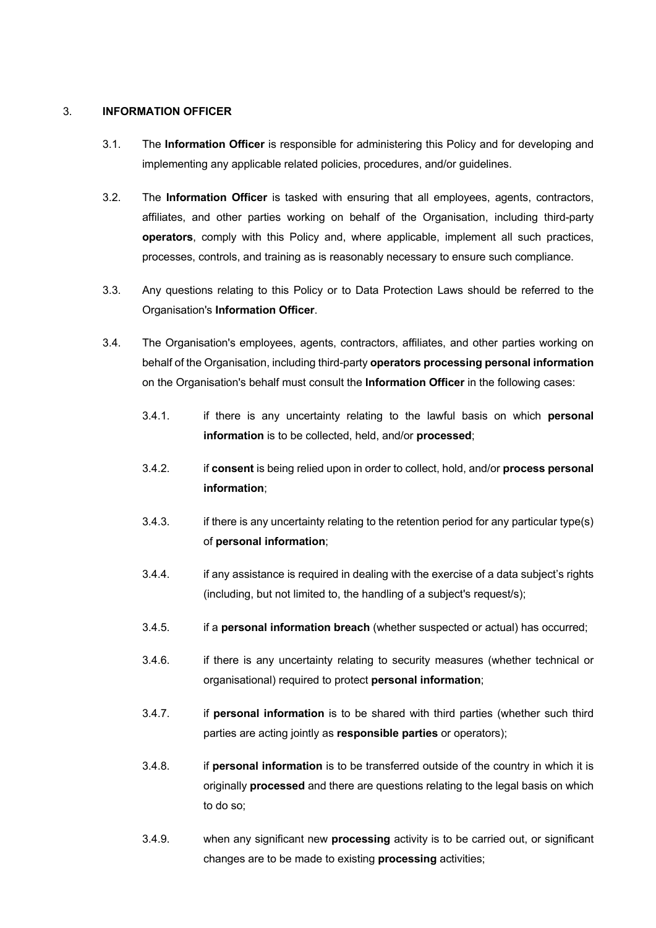#### 3. **INFORMATION OFFICER**

- 3.1. The **Information Officer** is responsible for administering this Policy and for developing and implementing any applicable related policies, procedures, and/or guidelines.
- 3.2. The **Information Officer** is tasked with ensuring that all employees, agents, contractors, affiliates, and other parties working on behalf of the Organisation, including third-party **operators**, comply with this Policy and, where applicable, implement all such practices, processes, controls, and training as is reasonably necessary to ensure such compliance.
- 3.3. Any questions relating to this Policy or to Data Protection Laws should be referred to the Organisation's **Information Officer**.
- 3.4. The Organisation's employees, agents, contractors, affiliates, and other parties working on behalf of the Organisation, including third-party **operators processing personal information** on the Organisation's behalf must consult the **Information Officer** in the following cases:
	- 3.4.1. if there is any uncertainty relating to the lawful basis on which **personal information** is to be collected, held, and/or **processed**;
	- 3.4.2. if **consent** is being relied upon in order to collect, hold, and/or **process personal information**;
	- 3.4.3. if there is any uncertainty relating to the retention period for any particular type(s) of **personal information**;
	- 3.4.4. if any assistance is required in dealing with the exercise of a data subject's rights (including, but not limited to, the handling of a subject's request/s);
	- 3.4.5. if a **personal information breach** (whether suspected or actual) has occurred;
	- 3.4.6. if there is any uncertainty relating to security measures (whether technical or organisational) required to protect **personal information**;
	- 3.4.7. if **personal information** is to be shared with third parties (whether such third parties are acting jointly as **responsible parties** or operators);
	- 3.4.8. if **personal information** is to be transferred outside of the country in which it is originally **processed** and there are questions relating to the legal basis on which to do so;
	- 3.4.9. when any significant new **processing** activity is to be carried out, or significant changes are to be made to existing **processing** activities;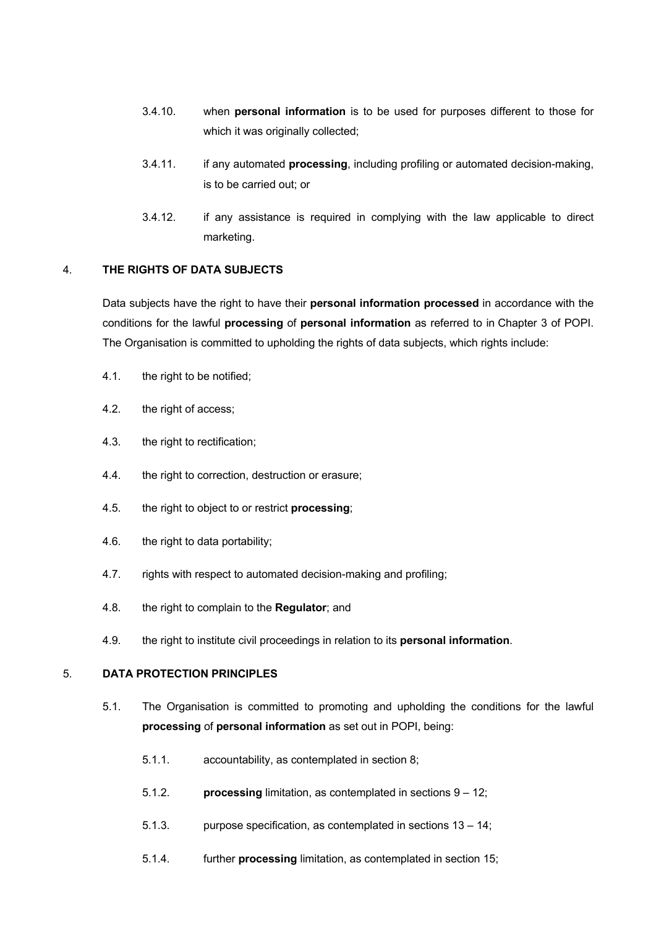- 3.4.10. when **personal information** is to be used for purposes different to those for which it was originally collected;
- 3.4.11. if any automated **processing**, including profiling or automated decision-making, is to be carried out; or
- 3.4.12. if any assistance is required in complying with the law applicable to direct marketing.

## 4. **THE RIGHTS OF DATA SUBJECTS**

Data subjects have the right to have their **personal information processed** in accordance with the conditions for the lawful **processing** of **personal information** as referred to in Chapter 3 of POPI. The Organisation is committed to upholding the rights of data subjects, which rights include:

- 4.1. the right to be notified;
- 4.2. the right of access;
- 4.3. the right to rectification;
- 4.4. the right to correction, destruction or erasure;
- 4.5. the right to object to or restrict **processing**;
- 4.6. the right to data portability;
- 4.7. rights with respect to automated decision-making and profiling;
- 4.8. the right to complain to the **Regulator**; and
- 4.9. the right to institute civil proceedings in relation to its **personal information**.

# 5. **DATA PROTECTION PRINCIPLES**

- 5.1. The Organisation is committed to promoting and upholding the conditions for the lawful **processing** of **personal information** as set out in POPI, being:
	- 5.1.1. accountability, as contemplated in section 8;
	- 5.1.2. **processing** limitation, as contemplated in sections 9 12;
	- 5.1.3. purpose specification, as contemplated in sections 13 14;
	- 5.1.4. further **processing** limitation, as contemplated in section 15;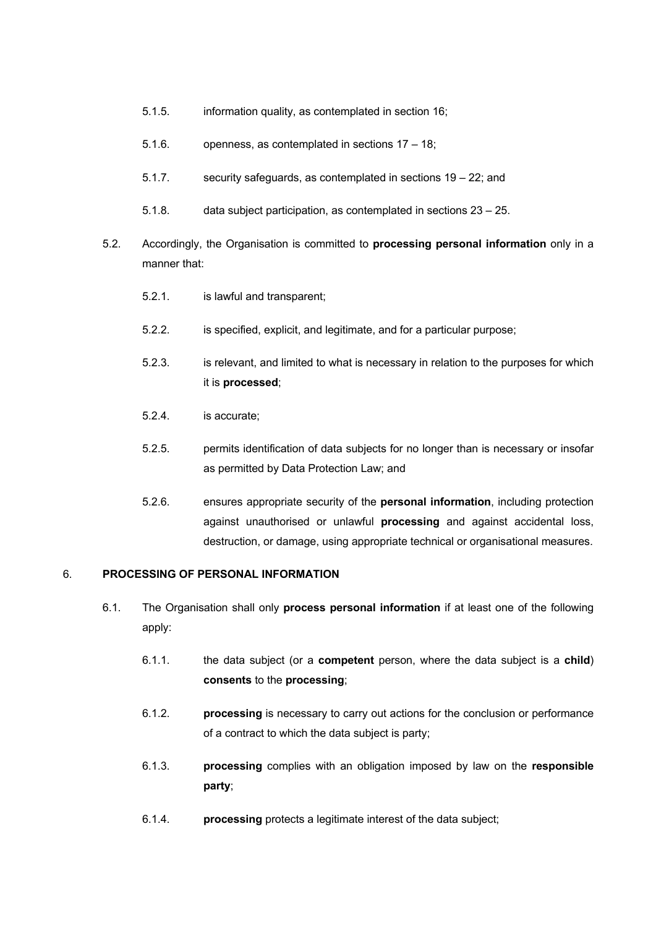- 5.1.5. information quality, as contemplated in section 16;
- 5.1.6. openness, as contemplated in sections 17 18;
- 5.1.7. security safeguards, as contemplated in sections 19 22; and
- 5.1.8. data subject participation, as contemplated in sections 23 25.
- 5.2. Accordingly, the Organisation is committed to **processing personal information** only in a manner that:
	- 5.2.1. is lawful and transparent;
	- 5.2.2. is specified, explicit, and legitimate, and for a particular purpose;
	- 5.2.3. is relevant, and limited to what is necessary in relation to the purposes for which it is **processed**;
	- 5.2.4. is accurate;
	- 5.2.5. permits identification of data subjects for no longer than is necessary or insofar as permitted by Data Protection Law; and
	- 5.2.6. ensures appropriate security of the **personal information**, including protection against unauthorised or unlawful **processing** and against accidental loss, destruction, or damage, using appropriate technical or organisational measures.

### 6. **PROCESSING OF PERSONAL INFORMATION**

- 6.1. The Organisation shall only **process personal information** if at least one of the following apply:
	- 6.1.1. the data subject (or a **competent** person, where the data subject is a **child**) **consents** to the **processing**;
	- 6.1.2. **processing** is necessary to carry out actions for the conclusion or performance of a contract to which the data subject is party;
	- 6.1.3. **processing** complies with an obligation imposed by law on the **responsible party**;
	- 6.1.4. **processing** protects a legitimate interest of the data subject;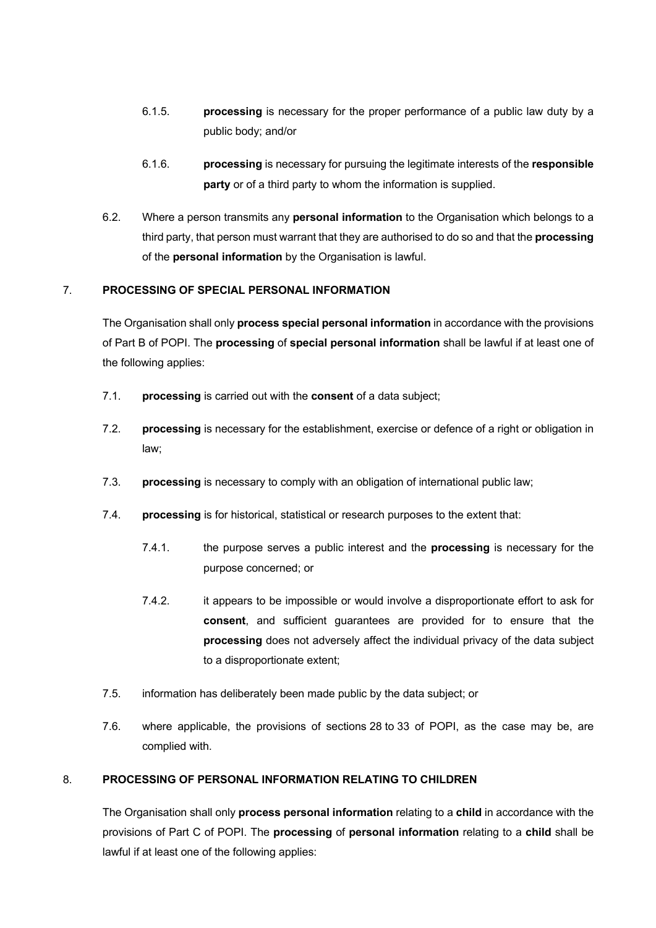- 6.1.5. **processing** is necessary for the proper performance of a public law duty by a public body; and/or
- 6.1.6. **processing** is necessary for pursuing the legitimate interests of the **responsible party** or of a third party to whom the information is supplied.
- 6.2. Where a person transmits any **personal information** to the Organisation which belongs to a third party, that person must warrant that they are authorised to do so and that the **processing** of the **personal information** by the Organisation is lawful.

# 7. **PROCESSING OF SPECIAL PERSONAL INFORMATION**

The Organisation shall only **process special personal information** in accordance with the provisions of Part B of POPI. The **processing** of **special personal information** shall be lawful if at least one of the following applies:

- 7.1. **processing** is carried out with the **consent** of a data subject;
- 7.2. **processing** is necessary for the establishment, exercise or defence of a right or obligation in law;
- 7.3. **processing** is necessary to comply with an obligation of international public law;
- 7.4. **processing** is for historical, statistical or research purposes to the extent that:
	- 7.4.1. the purpose serves a public interest and the **processing** is necessary for the purpose concerned; or
	- 7.4.2. it appears to be impossible or would involve a disproportionate effort to ask for **consent**, and sufficient guarantees are provided for to ensure that the **processing** does not adversely affect the individual privacy of the data subject to a disproportionate extent;
- 7.5. information has deliberately been made public by the data subject; or
- 7.6. where applicable, the provisions of sections 28 to 33 of POPI, as the case may be, are complied with.

### 8. **PROCESSING OF PERSONAL INFORMATION RELATING TO CHILDREN**

The Organisation shall only **process personal information** relating to a **child** in accordance with the provisions of Part C of POPI. The **processing** of **personal information** relating to a **child** shall be lawful if at least one of the following applies: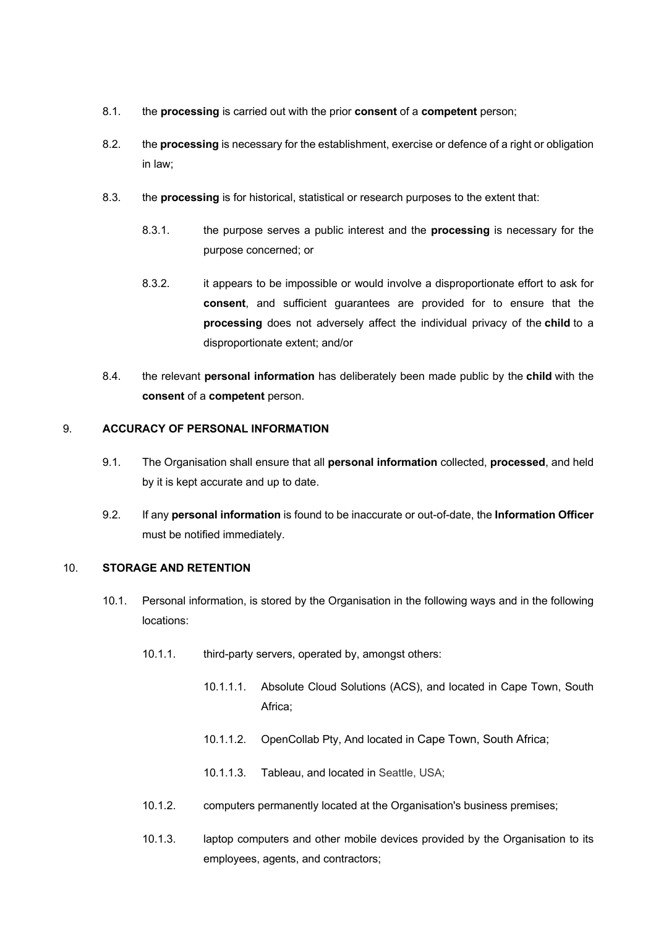- 8.1. the **processing** is carried out with the prior **consent** of a **competent** person;
- 8.2. the **processing** is necessary for the establishment, exercise or defence of a right or obligation in law;
- 8.3. the **processing** is for historical, statistical or research purposes to the extent that:
	- 8.3.1. the purpose serves a public interest and the **processing** is necessary for the purpose concerned; or
	- 8.3.2. it appears to be impossible or would involve a disproportionate effort to ask for **consent**, and sufficient guarantees are provided for to ensure that the **processing** does not adversely affect the individual privacy of the **child** to a disproportionate extent; and/or
- 8.4. the relevant **personal information** has deliberately been made public by the **child** with the **consent** of a **competent** person.

## 9. **ACCURACY OF PERSONAL INFORMATION**

- 9.1. The Organisation shall ensure that all **personal information** collected, **processed**, and held by it is kept accurate and up to date.
- 9.2. If any **personal information** is found to be inaccurate or out-of-date, the **Information Officer**  must be notified immediately.

### 10. **STORAGE AND RETENTION**

- 10.1. Personal information, is stored by the Organisation in the following ways and in the following locations:
	- 10.1.1. third-party servers, operated by, amongst others:
		- 10.1.1.1. Absolute Cloud Solutions (ACS), and located in Cape Town, South Africa;
		- 10.1.1.2. OpenCollab Pty, And located in Cape Town, South Africa;
		- 10.1.1.3. Tableau, and located in Seattle, USA;
	- 10.1.2. computers permanently located at the Organisation's business premises;
	- 10.1.3. laptop computers and other mobile devices provided by the Organisation to its employees, agents, and contractors;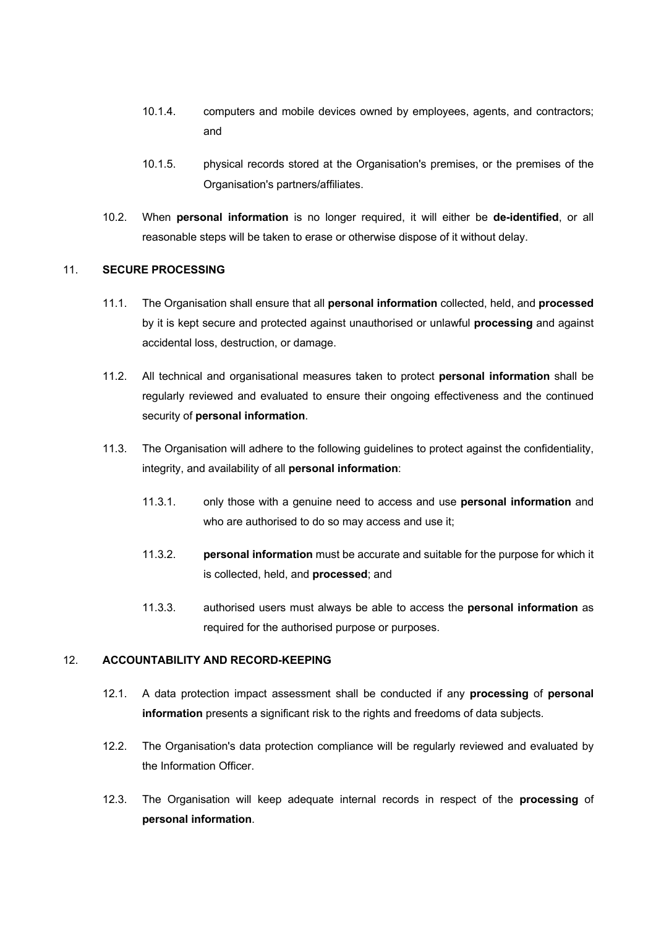- 10.1.4. computers and mobile devices owned by employees, agents, and contractors; and
- 10.1.5. physical records stored at the Organisation's premises, or the premises of the Organisation's partners/affiliates.
- 10.2. When **personal information** is no longer required, it will either be **de-identified**, or all reasonable steps will be taken to erase or otherwise dispose of it without delay.

### 11. **SECURE PROCESSING**

- 11.1. The Organisation shall ensure that all **personal information** collected, held, and **processed** by it is kept secure and protected against unauthorised or unlawful **processing** and against accidental loss, destruction, or damage.
- 11.2. All technical and organisational measures taken to protect **personal information** shall be regularly reviewed and evaluated to ensure their ongoing effectiveness and the continued security of **personal information**.
- 11.3. The Organisation will adhere to the following guidelines to protect against the confidentiality, integrity, and availability of all **personal information**:
	- 11.3.1. only those with a genuine need to access and use **personal information** and who are authorised to do so may access and use it;
	- 11.3.2. **personal information** must be accurate and suitable for the purpose for which it is collected, held, and **processed**; and
	- 11.3.3. authorised users must always be able to access the **personal information** as required for the authorised purpose or purposes.

# 12. **ACCOUNTABILITY AND RECORD-KEEPING**

- 12.1. A data protection impact assessment shall be conducted if any **processing** of **personal information** presents a significant risk to the rights and freedoms of data subjects.
- 12.2. The Organisation's data protection compliance will be regularly reviewed and evaluated by the Information Officer.
- 12.3. The Organisation will keep adequate internal records in respect of the **processing** of **personal information**.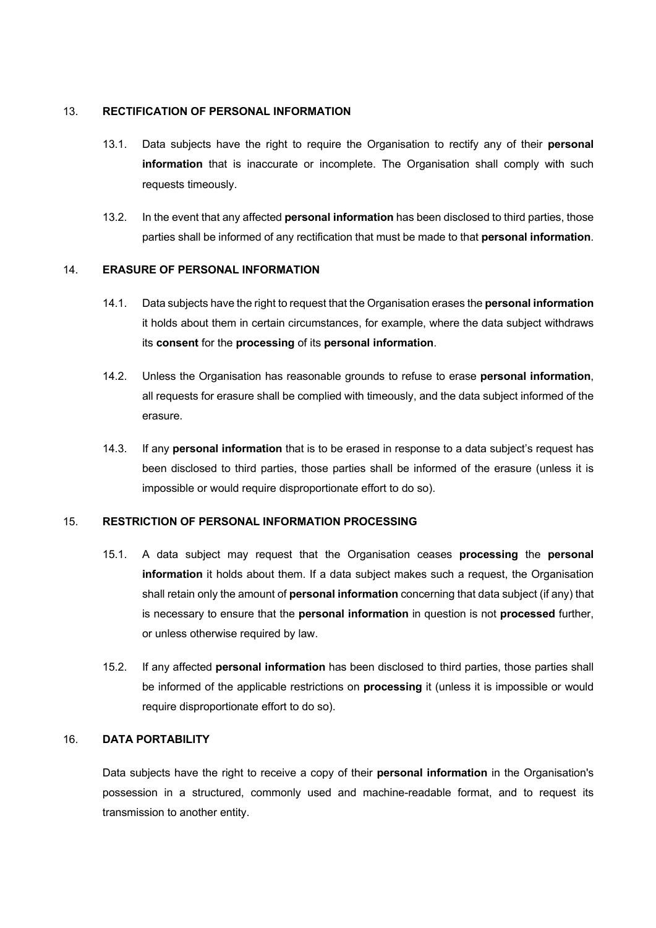### 13. **RECTIFICATION OF PERSONAL INFORMATION**

- 13.1. Data subjects have the right to require the Organisation to rectify any of their **personal information** that is inaccurate or incomplete. The Organisation shall comply with such requests timeously.
- 13.2. In the event that any affected **personal information** has been disclosed to third parties, those parties shall be informed of any rectification that must be made to that **personal information**.

#### 14. **ERASURE OF PERSONAL INFORMATION**

- 14.1. Data subjects have the right to request that the Organisation erases the **personal information** it holds about them in certain circumstances, for example, where the data subject withdraws its **consent** for the **processing** of its **personal information**.
- 14.2. Unless the Organisation has reasonable grounds to refuse to erase **personal information**, all requests for erasure shall be complied with timeously, and the data subject informed of the erasure.
- 14.3. If any **personal information** that is to be erased in response to a data subject's request has been disclosed to third parties, those parties shall be informed of the erasure (unless it is impossible or would require disproportionate effort to do so).

### 15. **RESTRICTION OF PERSONAL INFORMATION PROCESSING**

- 15.1. A data subject may request that the Organisation ceases **processing** the **personal information** it holds about them. If a data subject makes such a request, the Organisation shall retain only the amount of **personal information** concerning that data subject (if any) that is necessary to ensure that the **personal information** in question is not **processed** further, or unless otherwise required by law.
- 15.2. If any affected **personal information** has been disclosed to third parties, those parties shall be informed of the applicable restrictions on **processing** it (unless it is impossible or would require disproportionate effort to do so).

#### 16. **DATA PORTABILITY**

Data subjects have the right to receive a copy of their **personal information** in the Organisation's possession in a structured, commonly used and machine-readable format, and to request its transmission to another entity.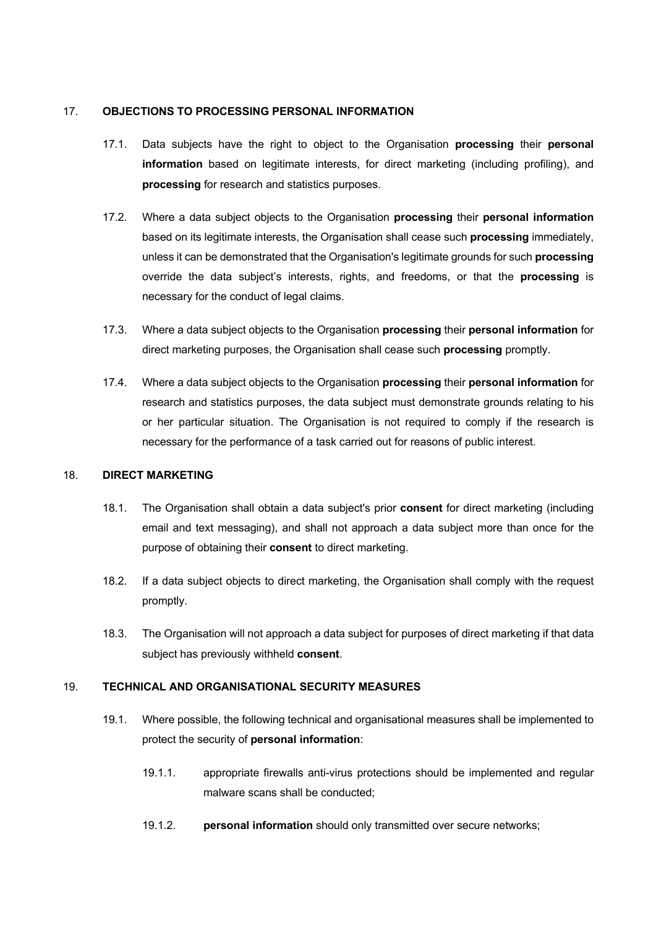### 17. **OBJECTIONS TO PROCESSING PERSONAL INFORMATION**

- 17.1. Data subjects have the right to object to the Organisation **processing** their **personal information** based on legitimate interests, for direct marketing (including profiling), and **processing** for research and statistics purposes.
- 17.2. Where a data subject objects to the Organisation **processing** their **personal information** based on its legitimate interests, the Organisation shall cease such **processing** immediately, unless it can be demonstrated that the Organisation's legitimate grounds for such **processing** override the data subject's interests, rights, and freedoms, or that the **processing** is necessary for the conduct of legal claims.
- 17.3. Where a data subject objects to the Organisation **processing** their **personal information** for direct marketing purposes, the Organisation shall cease such **processing** promptly.
- 17.4. Where a data subject objects to the Organisation **processing** their **personal information** for research and statistics purposes, the data subject must demonstrate grounds relating to his or her particular situation. The Organisation is not required to comply if the research is necessary for the performance of a task carried out for reasons of public interest.

### 18. **DIRECT MARKETING**

- 18.1. The Organisation shall obtain a data subject's prior **consent** for direct marketing (including email and text messaging), and shall not approach a data subject more than once for the purpose of obtaining their **consent** to direct marketing.
- 18.2. If a data subject objects to direct marketing, the Organisation shall comply with the request promptly.
- 18.3. The Organisation will not approach a data subject for purposes of direct marketing if that data subject has previously withheld **consent**.

### 19. **TECHNICAL AND ORGANISATIONAL SECURITY MEASURES**

- 19.1. Where possible, the following technical and organisational measures shall be implemented to protect the security of **personal information**:
	- 19.1.1. appropriate firewalls anti-virus protections should be implemented and regular malware scans shall be conducted;
	- 19.1.2. **personal information** should only transmitted over secure networks;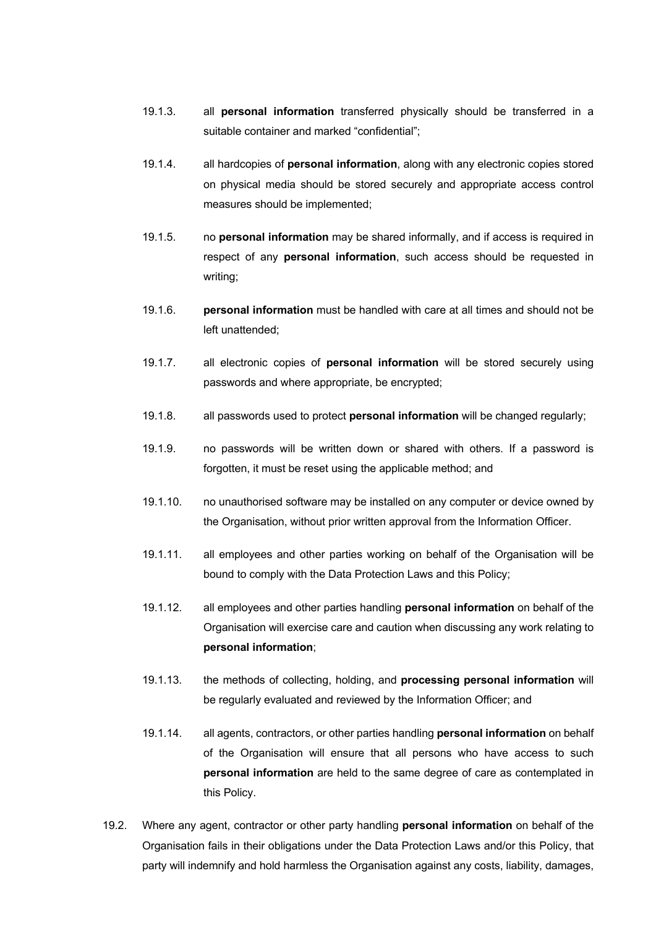- 19.1.3. all **personal information** transferred physically should be transferred in a suitable container and marked "confidential";
- 19.1.4. all hardcopies of **personal information**, along with any electronic copies stored on physical media should be stored securely and appropriate access control measures should be implemented;
- 19.1.5. no **personal information** may be shared informally, and if access is required in respect of any **personal information**, such access should be requested in writing;
- 19.1.6. **personal information** must be handled with care at all times and should not be left unattended;
- 19.1.7. all electronic copies of **personal information** will be stored securely using passwords and where appropriate, be encrypted;
- 19.1.8. all passwords used to protect **personal information** will be changed regularly;
- 19.1.9. no passwords will be written down or shared with others. If a password is forgotten, it must be reset using the applicable method; and
- 19.1.10. no unauthorised software may be installed on any computer or device owned by the Organisation, without prior written approval from the Information Officer.
- 19.1.11. all employees and other parties working on behalf of the Organisation will be bound to comply with the Data Protection Laws and this Policy;
- 19.1.12. all employees and other parties handling **personal information** on behalf of the Organisation will exercise care and caution when discussing any work relating to **personal information**;
- 19.1.13. the methods of collecting, holding, and **processing personal information** will be regularly evaluated and reviewed by the Information Officer; and
- 19.1.14. all agents, contractors, or other parties handling **personal information** on behalf of the Organisation will ensure that all persons who have access to such **personal information** are held to the same degree of care as contemplated in this Policy.
- 19.2. Where any agent, contractor or other party handling **personal information** on behalf of the Organisation fails in their obligations under the Data Protection Laws and/or this Policy, that party will indemnify and hold harmless the Organisation against any costs, liability, damages,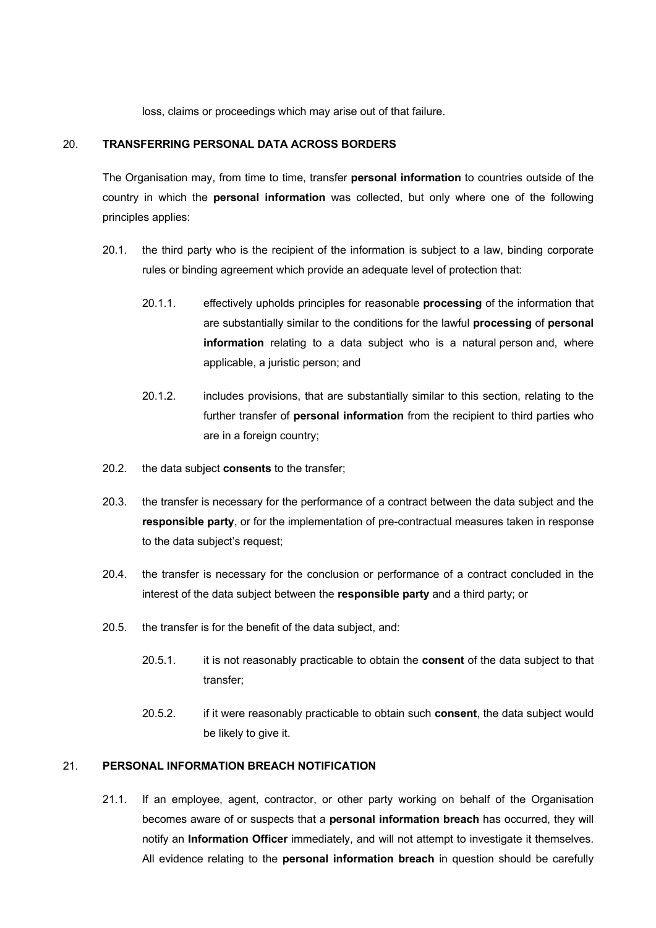loss, claims or proceedings which may arise out of that failure.

#### 20. **TRANSFERRING PERSONAL DATA ACROSS BORDERS**

The Organisation may, from time to time, transfer **personal information** to countries outside of the country in which the **personal information** was collected, but only where one of the following principles applies:

- 20.1. the third party who is the recipient of the information is subject to a law, binding corporate rules or binding agreement which provide an adequate level of protection that:
	- 20.1.1. effectively upholds principles for reasonable **processing** of the information that are substantially similar to the conditions for the lawful **processing** of **personal information** relating to a data subject who is a natural person and, where applicable, a juristic person; and
	- 20.1.2. includes provisions, that are substantially similar to this section, relating to the further transfer of **personal information** from the recipient to third parties who are in a foreign country;
- 20.2. the data subject **consents** to the transfer;
- 20.3. the transfer is necessary for the performance of a contract between the data subject and the **responsible party**, or for the implementation of pre-contractual measures taken in response to the data subject's request;
- 20.4. the transfer is necessary for the conclusion or performance of a contract concluded in the interest of the data subject between the **responsible party** and a third party; or
- 20.5. the transfer is for the benefit of the data subject, and:
	- 20.5.1. it is not reasonably practicable to obtain the **consent** of the data subject to that transfer;
	- 20.5.2. if it were reasonably practicable to obtain such **consent**, the data subject would be likely to give it.

# 21. **PERSONAL INFORMATION BREACH NOTIFICATION**

21.1. If an employee, agent, contractor, or other party working on behalf of the Organisation becomes aware of or suspects that a **personal information breach** has occurred, they will notify an **Information Officer** immediately, and will not attempt to investigate it themselves. All evidence relating to the **personal information breach** in question should be carefully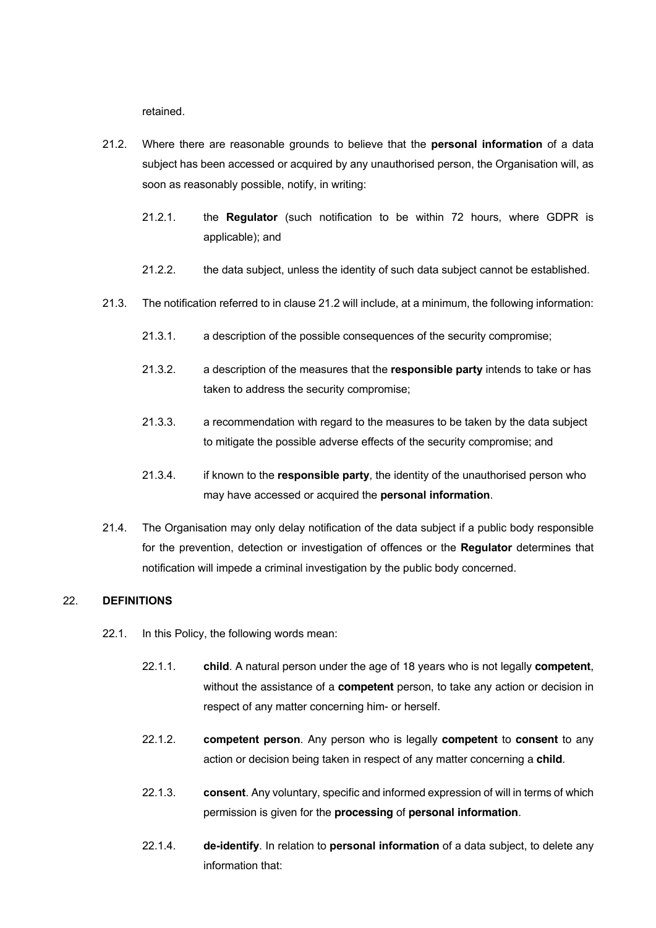retained.

- 21.2. Where there are reasonable grounds to believe that the **personal information** of a data subject has been accessed or acquired by any unauthorised person, the Organisation will, as soon as reasonably possible, notify, in writing:
	- 21.2.1. the **Regulator** (such notification to be within 72 hours, where GDPR is applicable); and
	- 21.2.2. the data subject, unless the identity of such data subject cannot be established.
- 21.3. The notification referred to in clause 21.2 will include, at a minimum, the following information:
	- 21.3.1. a description of the possible consequences of the security compromise;
	- 21.3.2. a description of the measures that the **responsible party** intends to take or has taken to address the security compromise;
	- 21.3.3. a recommendation with regard to the measures to be taken by the data subject to mitigate the possible adverse effects of the security compromise; and
	- 21.3.4. if known to the **responsible party**, the identity of the unauthorised person who may have accessed or acquired the **personal information**.
- 21.4. The Organisation may only delay notification of the data subject if a public body responsible for the prevention, detection or investigation of offences or the **Regulator** determines that notification will impede a criminal investigation by the public body concerned.

### 22. **DEFINITIONS**

- 22.1. In this Policy, the following words mean:
	- 22.1.1. **child**. A natural person under the age of 18 years who is not legally **competent**, without the assistance of a **competent** person, to take any action or decision in respect of any matter concerning him- or herself.
	- 22.1.2. **competent person**. Any person who is legally **competent** to **consent** to any action or decision being taken in respect of any matter concerning a **child**.
	- 22.1.3. **consent**. Any voluntary, specific and informed expression of will in terms of which permission is given for the **processing** of **personal information**.
	- 22.1.4. **de-identify**. In relation to **personal information** of a data subject, to delete any information that: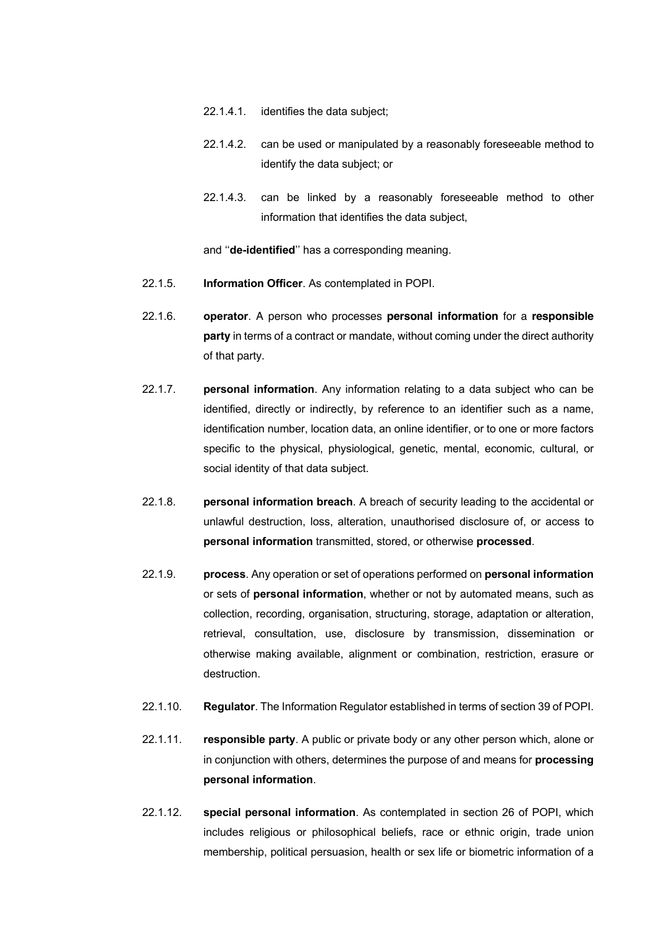- 22.1.4.1. identifies the data subject;
- 22.1.4.2. can be used or manipulated by a reasonably foreseeable method to identify the data subject; or
- 22.1.4.3. can be linked by a reasonably foreseeable method to other information that identifies the data subject,

and ''**de-identified**'' has a corresponding meaning.

- 22.1.5. **Information Officer**. As contemplated in POPI.
- 22.1.6. **operator**. A person who processes **personal information** for a **responsible party** in terms of a contract or mandate, without coming under the direct authority of that party.
- 22.1.7. **personal information**. Any information relating to a data subject who can be identified, directly or indirectly, by reference to an identifier such as a name, identification number, location data, an online identifier, or to one or more factors specific to the physical, physiological, genetic, mental, economic, cultural, or social identity of that data subject.
- 22.1.8. **personal information breach**. A breach of security leading to the accidental or unlawful destruction, loss, alteration, unauthorised disclosure of, or access to **personal information** transmitted, stored, or otherwise **processed**.
- 22.1.9. **process**. Any operation or set of operations performed on **personal information** or sets of **personal information**, whether or not by automated means, such as collection, recording, organisation, structuring, storage, adaptation or alteration, retrieval, consultation, use, disclosure by transmission, dissemination or otherwise making available, alignment or combination, restriction, erasure or destruction.
- 22.1.10. **Regulator**. The Information Regulator established in terms of section 39 of POPI.
- 22.1.11. **responsible party**. A public or private body or any other person which, alone or in conjunction with others, determines the purpose of and means for **processing personal information**.
- 22.1.12. **special personal information**. As contemplated in section 26 of POPI, which includes religious or philosophical beliefs, race or ethnic origin, trade union membership, political persuasion, health or sex life or biometric information of a